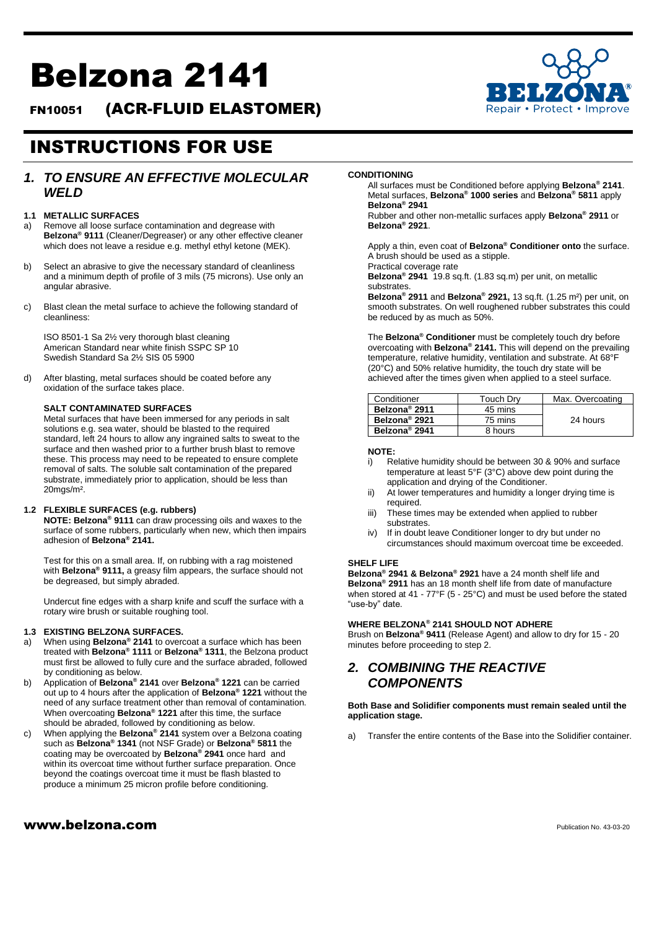# Belzona 2141

FN10051 (ACR-FLUID ELASTOMER)



## INSTRUCTIONS FOR USE

## *1. TO ENSURE AN EFFECTIVE MOLECULAR WELD*

#### **1.1 METALLIC SURFACES**

- a) Remove all loose surface contamination and degrease with **Belzona® 9111** (Cleaner/Degreaser) or any other effective cleaner which does not leave a residue e.g. methyl ethyl ketone (MEK).
- b) Select an abrasive to give the necessary standard of cleanliness and a minimum depth of profile of 3 mils (75 microns). Use only an angular abrasive.
- c) Blast clean the metal surface to achieve the following standard of cleanliness:

ISO 8501-1 Sa 2½ very thorough blast cleaning American Standard near white finish SSPC SP 10 Swedish Standard Sa 2½ SIS 05 5900

d) After blasting, metal surfaces should be coated before any oxidation of the surface takes place.

#### **SALT CONTAMINATED SURFACES**

Metal surfaces that have been immersed for any periods in salt solutions e.g. sea water, should be blasted to the required standard, left 24 hours to allow any ingrained salts to sweat to the surface and then washed prior to a further brush blast to remove these. This process may need to be repeated to ensure complete removal of salts. The soluble salt contamination of the prepared substrate, immediately prior to application, should be less than 20mgs/m².

#### **1.2 FLEXIBLE SURFACES (e.g. rubbers)**

**NOTE: Belzona® 9111** can draw processing oils and waxes to the surface of some rubbers, particularly when new, which then impairs adhesion of **Belzona® 2141.**

Test for this on a small area. If, on rubbing with a rag moistened with **Belzona® 9111,** a greasy film appears, the surface should not be degreased, but simply abraded.

Undercut fine edges with a sharp knife and scuff the surface with a rotary wire brush or suitable roughing tool.

#### **1.3 EXISTING BELZONA SURFACES.**

- a) When using **Belzona® 2141** to overcoat a surface which has been treated with **Belzona® 1111** or **Belzona® 1311**, the Belzona product must first be allowed to fully cure and the surface abraded, followed by conditioning as below.
- b) Application of **Belzona® 2141** over **Belzona® 1221** can be carried out up to 4 hours after the application of **Belzona® 1221** without the need of any surface treatment other than removal of contamination. When overcoating **Belzona® 1221** after this time, the surface should be abraded, followed by conditioning as below.
- c) When applying the **Belzona® 2141** system over a Belzona coating such as **Belzona® 1341** (not NSF Grade) or **Belzona® 5811** the coating may be overcoated by **Belzona® 2941** once hard and within its overcoat time without further surface preparation. Once beyond the coatings overcoat time it must be flash blasted to produce a minimum 25 micron profile before conditioning.

## $www.beIzona.com$

#### **CONDITIONING**

All surfaces must be Conditioned before applying **Belzona® 2141**. Metal surfaces, **Belzona® 1000 series** and **Belzona® 5811** apply **Belzona® 2941**

Rubber and other non-metallic surfaces apply **Belzona® 2911** or **Belzona® 2921**.

Apply a thin, even coat of **Belzona® Conditioner onto** the surface. A brush should be used as a stipple.

Practical coverage rate

**Belzona® 2941** 19.8 sq.ft. (1.83 sq.m) per unit, on metallic substrates.

**Belzona® 2911** and **Belzona® 2921,** 13 sq.ft. (1.25 m²) per unit, on smooth substrates. On well roughened rubber substrates this could be reduced by as much as 50%.

The **Belzona® Conditioner** must be completely touch dry before overcoating with **Belzona® 2141.** This will depend on the prevailing temperature, relative humidity, ventilation and substrate. At 68°F (20°C) and 50% relative humidity, the touch dry state will be achieved after the times given when applied to a steel surface.

| Conditioner               | Touch Drv | Max. Overcoating |
|---------------------------|-----------|------------------|
| Belzona <sup>®</sup> 2911 | 45 mins   |                  |
| Belzona <sup>®</sup> 2921 | 75 mins   | 24 hours         |
| Belzona <sup>®</sup> 2941 | 8 hours   |                  |

#### **NOTE:**

- i) Relative humidity should be between 30 & 90% and surface temperature at least 5°F (3°C) above dew point during the application and drying of the Conditioner.
- ii) At lower temperatures and humidity a longer drying time is required.
- iii) These times may be extended when applied to rubber substrates.
- iv) If in doubt leave Conditioner longer to dry but under no circumstances should maximum overcoat time be exceeded.

#### **SHELF LIFE**

**Belzona® 2941 & Belzona® 2921** have a 24 month shelf life and **Belzona® 2911** has an 18 month shelf life from date of manufacture when stored at 41 - 77°F (5 - 25°C) and must be used before the stated "use-by" date.

#### **WHERE BELZONA® 2141 SHOULD NOT ADHERE**

Brush on **Belzona® 9411** (Release Agent) and allow to dry for 15 - 20 minutes before proceeding to step 2.

## *2. COMBINING THE REACTIVE COMPONENTS*

**Both Base and Solidifier components must remain sealed until the application stage.**

Transfer the entire contents of the Base into the Solidifier container.